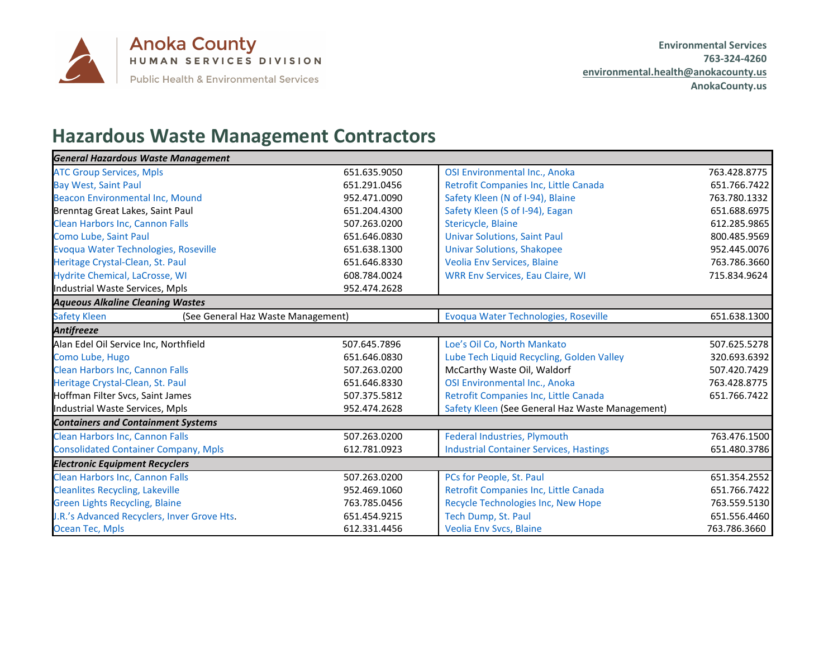

## **Hazardous Waste Management Contractors**

| <b>General Hazardous Waste Management</b>                 |              |                                                 |              |
|-----------------------------------------------------------|--------------|-------------------------------------------------|--------------|
| <b>ATC Group Services, Mpls</b>                           | 651.635.9050 | OSI Environmental Inc., Anoka                   | 763.428.8775 |
| <b>Bay West, Saint Paul</b>                               | 651.291.0456 | Retrofit Companies Inc, Little Canada           | 651.766.7422 |
| Beacon Environmental Inc, Mound                           | 952.471.0090 | Safety Kleen (N of I-94), Blaine                | 763.780.1332 |
| Brenntag Great Lakes, Saint Paul                          | 651.204.4300 | Safety Kleen (S of I-94), Eagan                 | 651.688.6975 |
| Clean Harbors Inc, Cannon Falls                           | 507.263.0200 | Stericycle, Blaine                              | 612.285.9865 |
| Como Lube, Saint Paul                                     | 651.646.0830 | <b>Univar Solutions, Saint Paul</b>             | 800.485.9569 |
| Evoqua Water Technologies, Roseville                      | 651.638.1300 | <b>Univar Solutions, Shakopee</b>               | 952.445.0076 |
| Heritage Crystal-Clean, St. Paul                          | 651.646.8330 | <b>Veolia Env Services, Blaine</b>              | 763.786.3660 |
| Hydrite Chemical, LaCrosse, WI                            | 608.784.0024 | <b>WRR Env Services, Eau Claire, WI</b>         | 715.834.9624 |
| Industrial Waste Services, Mpls                           | 952.474.2628 |                                                 |              |
| <b>Aqueous Alkaline Cleaning Wastes</b>                   |              |                                                 |              |
| <b>Safety Kleen</b><br>(See General Haz Waste Management) |              | Evoqua Water Technologies, Roseville            | 651.638.1300 |
| <b>Antifreeze</b>                                         |              |                                                 |              |
| Alan Edel Oil Service Inc, Northfield                     | 507.645.7896 | Loe's Oil Co, North Mankato                     | 507.625.5278 |
| Como Lube, Hugo                                           | 651.646.0830 | Lube Tech Liquid Recycling, Golden Valley       | 320.693.6392 |
| <b>Clean Harbors Inc, Cannon Falls</b>                    | 507.263.0200 | McCarthy Waste Oil, Waldorf                     | 507.420.7429 |
| Heritage Crystal-Clean, St. Paul                          | 651.646.8330 | OSI Environmental Inc., Anoka                   | 763.428.8775 |
| Hoffman Filter Svcs, Saint James                          | 507.375.5812 | Retrofit Companies Inc, Little Canada           | 651.766.7422 |
| Industrial Waste Services, Mpls                           | 952.474.2628 | Safety Kleen (See General Haz Waste Management) |              |
| <b>Containers and Containment Systems</b>                 |              |                                                 |              |
| <b>Clean Harbors Inc, Cannon Falls</b>                    | 507.263.0200 | <b>Federal Industries, Plymouth</b>             | 763.476.1500 |
| <b>Consolidated Container Company, Mpls</b>               | 612.781.0923 | <b>Industrial Container Services, Hastings</b>  | 651.480.3786 |
| <b>Electronic Equipment Recyclers</b>                     |              |                                                 |              |
| <b>Clean Harbors Inc, Cannon Falls</b>                    | 507.263.0200 | PCs for People, St. Paul                        | 651.354.2552 |
| <b>Cleanlites Recycling, Lakeville</b>                    | 952.469.1060 | Retrofit Companies Inc, Little Canada           | 651.766.7422 |
| <b>Green Lights Recycling, Blaine</b>                     | 763.785.0456 | Recycle Technologies Inc, New Hope              | 763.559.5130 |
| J.R.'s Advanced Recyclers, Inver Grove Hts.               | 651.454.9215 | Tech Dump, St. Paul                             | 651.556.4460 |
| Ocean Tec, Mpls                                           | 612.331.4456 | Veolia Env Svcs, Blaine                         | 763.786.3660 |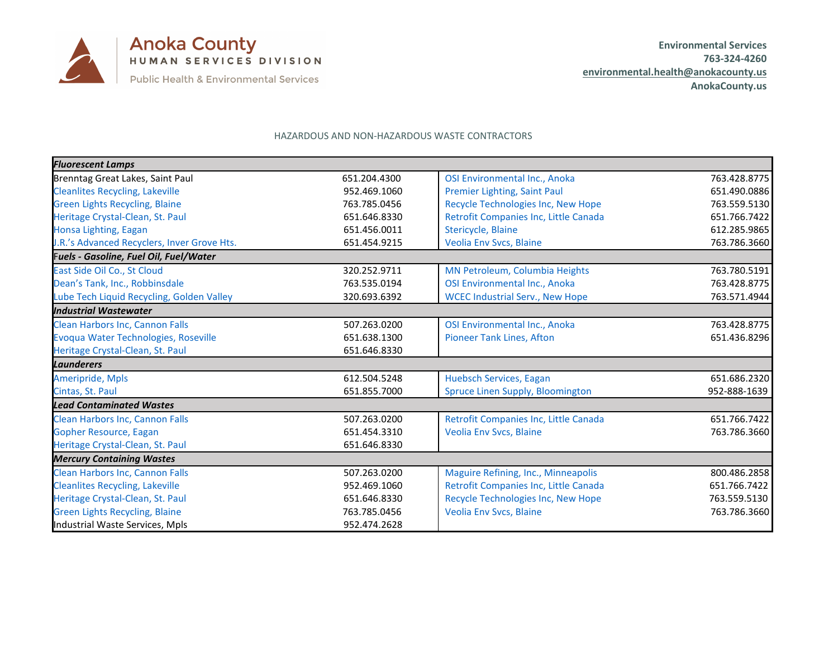

## HAZARDOUS AND NON-HAZARDOUS WASTE CONTRACTORS

| <b>Fluorescent Lamps</b>                      |              |                                        |              |
|-----------------------------------------------|--------------|----------------------------------------|--------------|
| Brenntag Great Lakes, Saint Paul              | 651.204.4300 | <b>OSI Environmental Inc., Anoka</b>   | 763.428.8775 |
| <b>Cleanlites Recycling, Lakeville</b>        | 952.469.1060 | Premier Lighting, Saint Paul           | 651.490.0886 |
| <b>Green Lights Recycling, Blaine</b>         | 763.785.0456 | Recycle Technologies Inc, New Hope     | 763.559.5130 |
| Heritage Crystal-Clean, St. Paul              | 651.646.8330 | Retrofit Companies Inc, Little Canada  | 651.766.7422 |
| Honsa Lighting, Eagan                         | 651.456.0011 | Stericycle, Blaine                     | 612.285.9865 |
| J.R.'s Advanced Recyclers, Inver Grove Hts.   | 651.454.9215 | Veolia Env Svcs, Blaine                | 763.786.3660 |
| <b>Fuels - Gasoline, Fuel Oil, Fuel/Water</b> |              |                                        |              |
| East Side Oil Co., St Cloud                   | 320.252.9711 | MN Petroleum, Columbia Heights         | 763.780.5191 |
| Dean's Tank, Inc., Robbinsdale                | 763.535.0194 | OSI Environmental Inc., Anoka          | 763.428.8775 |
| Lube Tech Liquid Recycling, Golden Valley     | 320.693.6392 | <b>WCEC Industrial Serv., New Hope</b> | 763.571.4944 |
| <b>Industrial Wastewater</b>                  |              |                                        |              |
| Clean Harbors Inc, Cannon Falls               | 507.263.0200 | OSI Environmental Inc., Anoka          | 763.428.8775 |
| Evoqua Water Technologies, Roseville          | 651.638.1300 | <b>Pioneer Tank Lines, Afton</b>       | 651.436.8296 |
| Heritage Crystal-Clean, St. Paul              | 651.646.8330 |                                        |              |
| <b>Launderers</b>                             |              |                                        |              |
| <b>Ameripride, Mpls</b>                       | 612.504.5248 | Huebsch Services, Eagan                | 651.686.2320 |
| Cintas, St. Paul                              | 651.855.7000 | Spruce Linen Supply, Bloomington       | 952-888-1639 |
| <b>Lead Contaminated Wastes</b>               |              |                                        |              |
| Clean Harbors Inc, Cannon Falls               | 507.263.0200 | Retrofit Companies Inc, Little Canada  | 651.766.7422 |
| <b>Gopher Resource, Eagan</b>                 | 651.454.3310 | Veolia Env Svcs, Blaine                | 763.786.3660 |
| Heritage Crystal-Clean, St. Paul              | 651.646.8330 |                                        |              |
| <b>Mercury Containing Wastes</b>              |              |                                        |              |
| Clean Harbors Inc, Cannon Falls               | 507.263.0200 | Maguire Refining, Inc., Minneapolis    | 800.486.2858 |
| <b>Cleanlites Recycling, Lakeville</b>        | 952.469.1060 | Retrofit Companies Inc, Little Canada  | 651.766.7422 |
| Heritage Crystal-Clean, St. Paul              | 651.646.8330 | Recycle Technologies Inc, New Hope     | 763.559.5130 |
| <b>Green Lights Recycling, Blaine</b>         | 763.785.0456 | Veolia Env Svcs, Blaine                | 763.786.3660 |
| Industrial Waste Services, Mpls               | 952.474.2628 |                                        |              |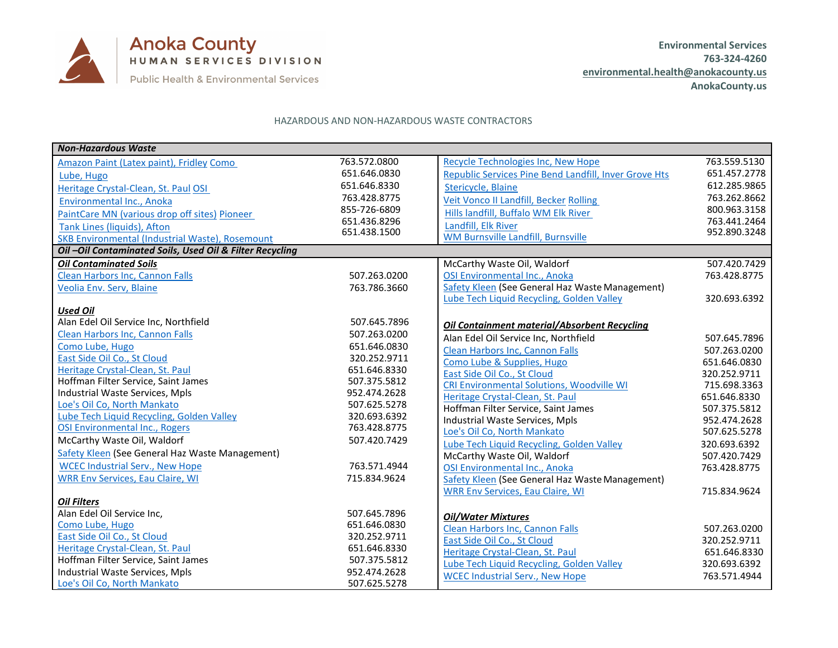

## HAZARDOUS AND NON-HAZARDOUS WASTE CONTRACTORS

| <b>Non-Hazardous Waste</b>                              |              |                                                              |              |
|---------------------------------------------------------|--------------|--------------------------------------------------------------|--------------|
| Amazon Paint (Latex paint), Fridley Como                | 763.572.0800 | Recycle Technologies Inc, New Hope                           | 763.559.5130 |
| Lube, Hugo                                              | 651.646.0830 | <b>Republic Services Pine Bend Landfill, Inver Grove Hts</b> | 651.457.2778 |
| Heritage Crystal-Clean, St. Paul OSI                    | 651.646.8330 | Stericycle, Blaine                                           | 612.285.9865 |
| Environmental Inc., Anoka                               | 763.428.8775 | <b>Veit Vonco II Landfill, Becker Rolling</b>                | 763.262.8662 |
| PaintCare MN (various drop off sites) Pioneer           | 855-726-6809 | Hills landfill, Buffalo WM Elk River                         | 800.963.3158 |
| Tank Lines (liquids), Afton                             | 651.436.8296 | Landfill, Elk River                                          | 763.441.2464 |
| SKB Environmental (Industrial Waste), Rosemount         | 651.438.1500 | WM Burnsville Landfill, Burnsville                           | 952.890.3248 |
| Oil-Oil Contaminated Soils, Used Oil & Filter Recycling |              |                                                              |              |
| <b>Oil Contaminated Soils</b>                           |              | McCarthy Waste Oil, Waldorf                                  | 507.420.7429 |
| <b>Clean Harbors Inc, Cannon Falls</b>                  | 507.263.0200 | OSI Environmental Inc., Anoka                                | 763.428.8775 |
| Veolia Env. Serv, Blaine                                | 763.786.3660 | Safety Kleen (See General Haz Waste Management)              |              |
|                                                         |              | Lube Tech Liquid Recycling, Golden Valley                    | 320.693.6392 |
| <b>Used Oil</b>                                         |              |                                                              |              |
| Alan Edel Oil Service Inc, Northfield                   | 507.645.7896 | <b>Oil Containment material/Absorbent Recycling</b>          |              |
| Clean Harbors Inc, Cannon Falls                         | 507.263.0200 | Alan Edel Oil Service Inc, Northfield                        | 507.645.7896 |
| Como Lube, Hugo                                         | 651.646.0830 | <b>Clean Harbors Inc, Cannon Falls</b>                       | 507.263.0200 |
| East Side Oil Co., St Cloud                             | 320.252.9711 | Como Lube & Supplies, Hugo                                   | 651.646.0830 |
| Heritage Crystal-Clean, St. Paul                        | 651.646.8330 | East Side Oil Co., St Cloud                                  | 320.252.9711 |
| Hoffman Filter Service, Saint James                     | 507.375.5812 | <b>CRI Environmental Solutions, Woodville WI</b>             | 715.698.3363 |
| Industrial Waste Services, Mpls                         | 952.474.2628 | Heritage Crystal-Clean, St. Paul                             | 651.646.8330 |
| Loe's Oil Co, North Mankato                             | 507.625.5278 | Hoffman Filter Service, Saint James                          | 507.375.5812 |
| Lube Tech Liquid Recycling, Golden Valley               | 320.693.6392 | Industrial Waste Services, Mpls                              | 952.474.2628 |
| OSI Environmental Inc., Rogers                          | 763.428.8775 | Loe's Oil Co, North Mankato                                  | 507.625.5278 |
| McCarthy Waste Oil, Waldorf                             | 507.420.7429 | Lube Tech Liquid Recycling, Golden Valley                    | 320.693.6392 |
| Safety Kleen (See General Haz Waste Management)         |              | McCarthy Waste Oil, Waldorf                                  | 507.420.7429 |
| <b>WCEC Industrial Serv., New Hope</b>                  | 763.571.4944 | OSI Environmental Inc., Anoka                                | 763.428.8775 |
| <b>WRR Env Services, Eau Claire, WI</b>                 | 715.834.9624 | Safety Kleen (See General Haz Waste Management)              |              |
|                                                         |              | <b>WRR Env Services, Eau Claire, WI</b>                      | 715.834.9624 |
| <b>Oil Filters</b>                                      |              |                                                              |              |
| Alan Edel Oil Service Inc,                              | 507.645.7896 | <b>Oil/Water Mixtures</b>                                    |              |
| Como Lube, Hugo                                         | 651.646.0830 | Clean Harbors Inc, Cannon Falls                              | 507.263.0200 |
| East Side Oil Co., St Cloud                             | 320.252.9711 | East Side Oil Co., St Cloud                                  | 320.252.9711 |
| Heritage Crystal-Clean, St. Paul                        | 651.646.8330 | Heritage Crystal-Clean, St. Paul                             | 651.646.8330 |
| Hoffman Filter Service, Saint James                     | 507.375.5812 | Lube Tech Liquid Recycling, Golden Valley                    | 320.693.6392 |
| Industrial Waste Services, Mpls                         | 952.474.2628 | <b>WCEC Industrial Serv., New Hope</b>                       | 763.571.4944 |
| Loe's Oil Co, North Mankato                             | 507.625.5278 |                                                              |              |